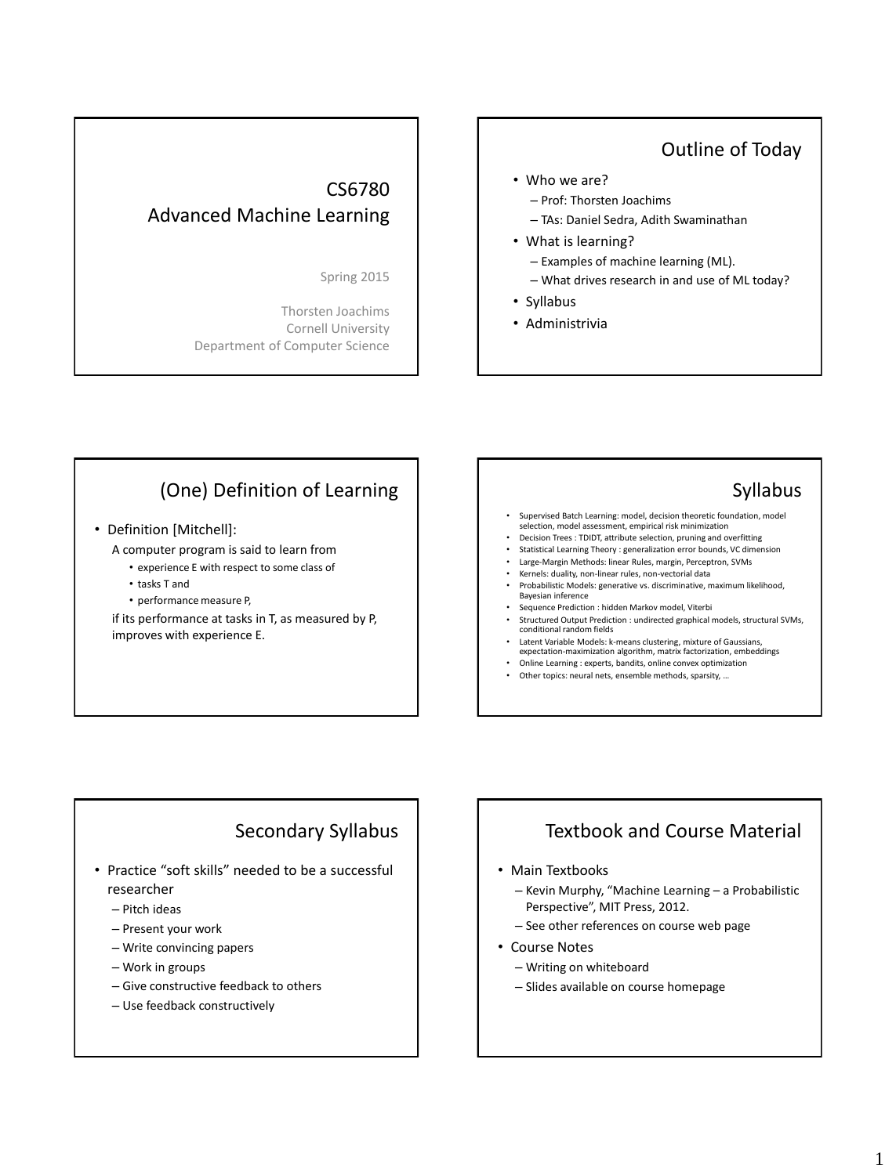## Outline of Today

## CS6780 Advanced Machine Learning

Spring 2015

Thorsten Joachims Cornell University Department of Computer Science

#### • Who we are?

- Prof: Thorsten Joachims
- TAs: Daniel Sedra, Adith Swaminathan
- What is learning?
	- Examples of machine learning (ML).
	- What drives research in and use of ML today?
- Syllabus
- Administrivia

# (One) Definition of Learning

#### • Definition [Mitchell]:

A computer program is said to learn from

- experience E with respect to some class of
- tasks T and
- performance measure P,

if its performance at tasks in T, as measured by P, improves with experience E.

### Syllabus

- Supervised Batch Learning: model, decision theoretic foundation, model selection, model assessment, empirical risk minimization
- Decision Trees : TDIDT, attribute selection, pruning and overfitting
- Statistical Learning Theory : generalization error bounds, VC dimension
- Large-Margin Methods: linear Rules, margin, Perceptron, SVMs
- Kernels: duality, non-linear rules, non-vectorial data
- Probabilistic Models: generative vs. discriminative, maximum likelihood, Bayesian inference • Sequence Prediction : hidden Markov model, Viterbi
- Structured Output Prediction : undirected graphical models, structural SVMs, conditional random fields
- Latent Variable Models: k-means clustering, mixture of Gaussians, expectation-maximization algorithm, matrix factorization, embeddings
- Online Learning : experts, bandits, online convex optimization
- Other topics: neural nets, ensemble methods, sparsity, …

## Secondary Syllabus

- Practice "soft skills" needed to be a successful researcher
	- Pitch ideas
	- Present your work
	- Write convincing papers
	- Work in groups
	- Give constructive feedback to others
	- Use feedback constructively

# Textbook and Course Material

#### • Main Textbooks

- Kevin Murphy, "Machine Learning a Probabilistic Perspective", MIT Press, 2012.
- See other references on course web page
- Course Notes
	- Writing on whiteboard
	- Slides available on course homepage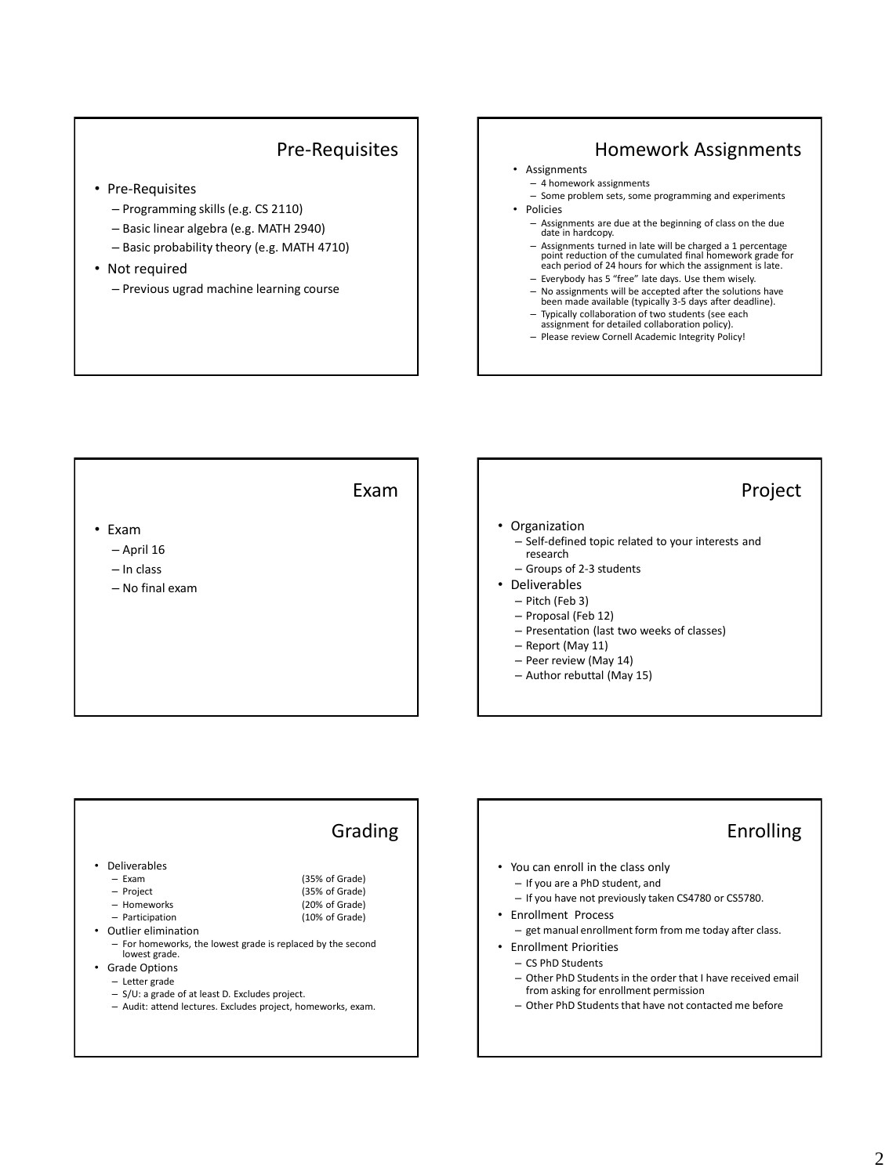## Pre-Requisites

- Pre-Requisites
	- Programming skills (e.g. CS 2110)
	- Basic linear algebra (e.g. MATH 2940)
	- Basic probability theory (e.g. MATH 4710)
- Not required
	- Previous ugrad machine learning course

### Homework Assignments

- Assignments
	- 4 homework assignments
- Some problem sets, some programming and experiments • Policies
	- Assignments are due at the beginning of class on the due date in hardcopy.
	- Assignments turned in late will be charged a 1 percentage point reduction of the cumulated final homework grade for each period of 24 hours for which the assignment is late.
	- Everybody has 5 "free" late days. Use them wisely.
	- No assignments will be accepted after the solutions have been made available (typically 3-5 days after deadline).
	- Typically collaboration of two students (see each assignment for detailed collaboration policy).
	- Please review Cornell Academic Integrity Policy!



|                                                                                                                                                                                                                                         | Grading                                                                                                                                                                                             | Enrolling                                                                                                                                                                                                                                                                                                                                                                                                                                |
|-----------------------------------------------------------------------------------------------------------------------------------------------------------------------------------------------------------------------------------------|-----------------------------------------------------------------------------------------------------------------------------------------------------------------------------------------------------|------------------------------------------------------------------------------------------------------------------------------------------------------------------------------------------------------------------------------------------------------------------------------------------------------------------------------------------------------------------------------------------------------------------------------------------|
| <b>Deliverables</b><br>$-$ Exam<br>- Project<br>- Homeworks<br>- Participation<br>Outlier elimination<br>$\bullet$<br>lowest grade.<br><b>Grade Options</b><br>٠<br>- Letter grade<br>$-$ S/U: a grade of at least D. Excludes project. | (35% of Grade)<br>(35% of Grade)<br>(20% of Grade)<br>(10% of Grade)<br>- For homeworks, the lowest grade is replaced by the second<br>- Audit: attend lectures. Excludes project, homeworks, exam. | • You can enroll in the class only<br>- If you are a PhD student, and<br>- If you have not previously taken CS4780 or CS5780.<br>• Enrollment Process<br>- get manual enrollment form from me today after class.<br><b>Enrollment Priorities</b><br>- CS PhD Students<br>- Other PhD Students in the order that I have received email<br>from asking for enrollment permission<br>- Other PhD Students that have not contacted me before |

#### 2